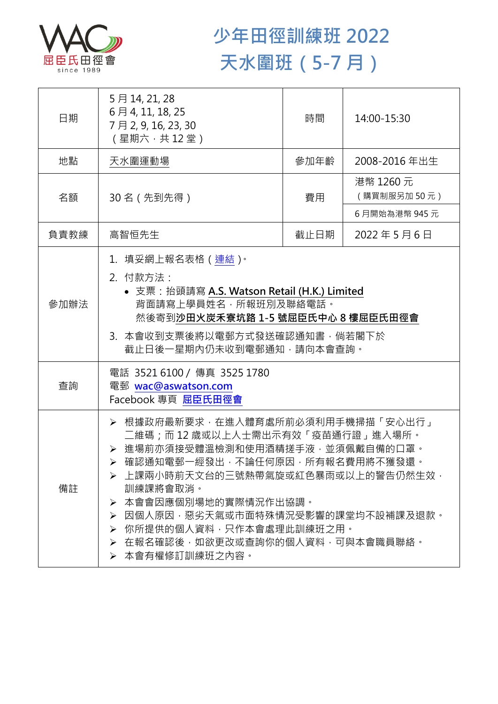

## **少年田徑訓練班 2022 天水圍班(5-7 月)**

| 日期   | 5月14, 21, 28<br>6月4, 11, 18, 25<br>7月2,9,16,23,30<br>(星期六,共12堂)                                                                                                                                                                                                                                                                                                 | 時間   | 14:00-15:30              |  |
|------|-----------------------------------------------------------------------------------------------------------------------------------------------------------------------------------------------------------------------------------------------------------------------------------------------------------------------------------------------------------------|------|--------------------------|--|
| 地點   | 天水圍運動場                                                                                                                                                                                                                                                                                                                                                          | 參加年齡 | 2008-2016年出生             |  |
| 名額   | 30 名 (先到先得)                                                                                                                                                                                                                                                                                                                                                     | 費用   | 港幣 1260 元<br>(購買制服另加50元) |  |
|      |                                                                                                                                                                                                                                                                                                                                                                 |      | 6月開始為港幣 945元             |  |
| 負責教練 | 高智恒先生                                                                                                                                                                                                                                                                                                                                                           | 截止日期 | 2022年5月6日                |  |
| 參加辦法 | 1.填妥網上報名表格(連結) <sup>。</sup><br>2. 付款方法:<br>• 支票: 抬頭請寫 A.S. Watson Retail (H.K.) Limited<br>背面請寫上學員姓名,所報班別及聯絡電話。<br>然後寄到沙田火炭禾寮坑路 1-5 號屈臣氏中心 8 樓屈臣氏田徑會<br>3.本會收到支票後將以電郵方式發送確認通知書,倘若閣下於<br>截止日後一星期內仍未收到電郵通知,請向本會查詢。                                                                                                                                                |      |                          |  |
| 查詢   | 電話 35216100 / 傳真 3525 1780<br>電郵 wac@aswatson.com<br>Facebook 專頁 屈臣氏田徑會                                                                                                                                                                                                                                                                                         |      |                          |  |
| 備註   | ▶ 根據政府最新要求 · 在進入體育處所前必須利用手機掃描「安心出行」<br>二維碼;而12歳或以上人士需出示有效「疫苗通行證」進入場所。<br>▶ 進場前亦須接受體溫檢測和使用酒精搓手液·並須佩戴自備的口罩。<br>▶ 確認通知電郵一經發出,不論任何原因,所有報名費用將不獲發還。<br>▶ 上課兩小時前天文台的三號熱帶氣旋或紅色暴雨或以上的警告仍然生效 ·<br>訓練課將會取消。<br>本會會因應個別場地的實際情況作出協調。<br>➤<br>因個人原因,惡劣天氣或市面特殊情況受影響的課堂均不設補課及狠款。<br>➤<br>你所提供的個人資料,只作本會處理此訓練班之用。<br>➤<br>在報名確認後,如欲更改或查詢你的個人資料,可與本會職員聯絡。<br>≻<br>▶ 本會有權修訂訓練班之內容。 |      |                          |  |